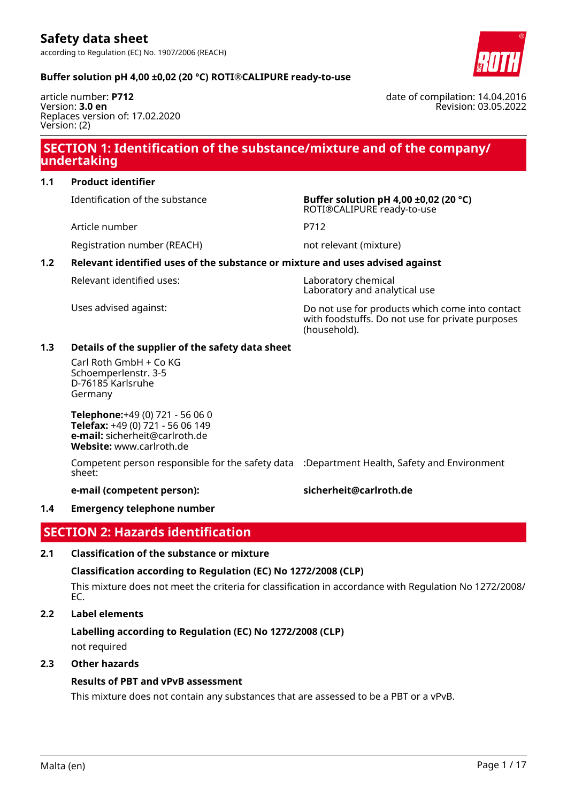date of compilation: 14.04.2016

Revision: 03.05.2022

#### **Buffer solution pH 4,00 ±0,02 (20 °C) ROTI®CALIPURE ready-to-use**

article number: **P712** Version: **3.0 en** Replaces version of: 17.02.2020 Version: (2)

# **SECTION 1: Identification of the substance/mixture and of the company/ undertaking**

### **1.1 Product identifier**

Article number P712

Identification of the substance **Buffer solution pH 4,00 ±0,02 (20 °C)** ROTI®CALIPURE ready-to-use

Registration number (REACH) not relevant (mixture)

#### **1.2 Relevant identified uses of the substance or mixture and uses advised against**

Relevant identified uses: Laboratory chemical

Laboratory and analytical use

Uses advised against: Do not use for products which come into contact with foodstuffs. Do not use for private purposes (household).

#### **1.3 Details of the supplier of the safety data sheet**

Carl Roth GmbH + Co KG Schoemperlenstr. 3-5 D-76185 Karlsruhe Germany

**Telephone:**+49 (0) 721 - 56 06 0 **Telefax:** +49 (0) 721 - 56 06 149 **e-mail:** sicherheit@carlroth.de **Website:** www.carlroth.de

Competent person responsible for the safety data :Department Health, Safety and Environment sheet:

**e-mail (competent person): sicherheit@carlroth.de**

#### **1.4 Emergency telephone number**

# **SECTION 2: Hazards identification**

### **2.1 Classification of the substance or mixture**

### **Classification according to Regulation (EC) No 1272/2008 (CLP)**

This mixture does not meet the criteria for classification in accordance with Regulation No 1272/2008/ EC.

# **2.2 Label elements**

# **Labelling according to Regulation (EC) No 1272/2008 (CLP)**

not required

## **2.3 Other hazards**

## **Results of PBT and vPvB assessment**

This mixture does not contain any substances that are assessed to be a PBT or a vPvB.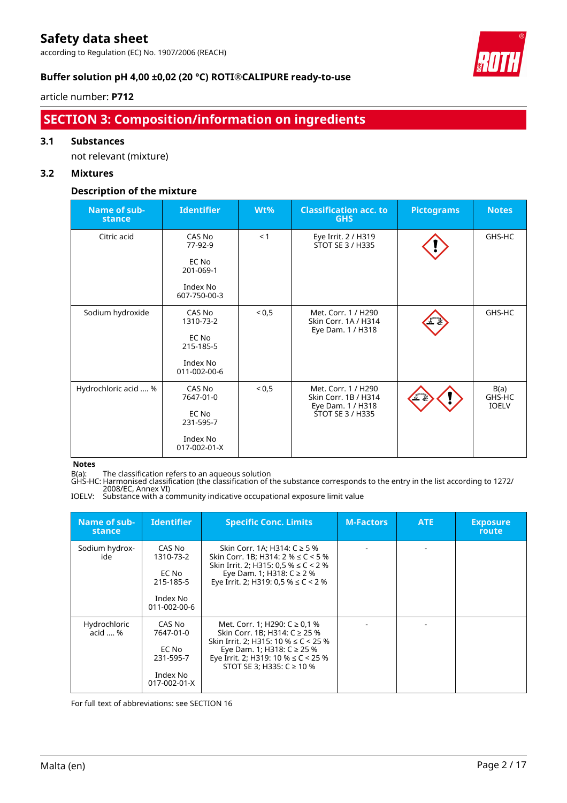according to Regulation (EC) No. 1907/2006 (REACH)



### **Buffer solution pH 4,00 ±0,02 (20 °C) ROTI®CALIPURE ready-to-use**

#### article number: **P712**

# **SECTION 3: Composition/information on ingredients**

#### **3.1 Substances**

not relevant (mixture)

### **3.2 Mixtures**

### **Description of the mixture**

| Name of sub-<br>stance | <b>Identifier</b>        | Wt%   | <b>Classification acc. to</b><br><b>GHS</b>                      | <b>Pictograms</b> | <b>Notes</b>                   |
|------------------------|--------------------------|-------|------------------------------------------------------------------|-------------------|--------------------------------|
| Citric acid            | CAS No<br>77-92-9        | < 1   | Eye Irrit. 2 / H319<br>STOT SE 3 / H335                          |                   | GHS-HC                         |
|                        | EC No<br>201-069-1       |       |                                                                  |                   |                                |
|                        | Index No<br>607-750-00-3 |       |                                                                  |                   |                                |
| Sodium hydroxide       | CAS No<br>1310-73-2      | < 0,5 | Met. Corr. 1 / H290<br>Skin Corr. 1A / H314                      |                   | GHS-HC                         |
|                        | EC No<br>215-185-5       |       | Eye Dam. 1 / H318                                                |                   |                                |
|                        | Index No<br>011-002-00-6 |       |                                                                  |                   |                                |
| Hydrochloric acid  %   | CAS No<br>7647-01-0      | < 0,5 | Met. Corr. 1 / H290<br>Skin Corr. 1B / H314<br>Eye Dam. 1 / H318 |                   | B(a)<br>GHS-HC<br><b>IOELV</b> |
|                        | EC No<br>231-595-7       |       | STOT SE 3 / H335                                                 |                   |                                |
|                        | Index No<br>017-002-01-X |       |                                                                  |                   |                                |

**Notes**

B(a): The classification refers to an aqueous solution

GHS-HC: Harmonised classification (the classification of the substance corresponds to the entry in the list according to 1272/ 2008/EC, Annex VI)

IOELV: Substance with a community indicative occupational exposure limit value

| Name of sub-<br>stance          | <b>Identifier</b>                                                     | <b>Specific Conc. Limits</b>                                                                                                                                                                                                 | <b>M-Factors</b> | ATE | <b>Exposure</b><br>route |
|---------------------------------|-----------------------------------------------------------------------|------------------------------------------------------------------------------------------------------------------------------------------------------------------------------------------------------------------------------|------------------|-----|--------------------------|
| Sodium hydrox-<br>ide           | CAS No<br>1310-73-2<br>EC No<br>215-185-5<br>Index No<br>011-002-00-6 | Skin Corr. 1A; H314: C ≥ 5 %<br>Skin Corr. 1B; H314: $2\% \le C < 5\%$<br>Skin Irrit. 2; H315: 0,5 % $\leq$ C < 2 %<br>Eye Dam. 1; H318: $C \ge 2$ %<br>Eye Irrit. 2; H319: 0,5 % $\leq$ C < 2 %                             |                  |     |                          |
| Hydrochloric<br>$acid \dots \%$ | CAS No<br>7647-01-0<br>EC No<br>231-595-7<br>Index No<br>017-002-01-X | Met. Corr. 1; H290: $C \ge 0.1$ %<br>Skin Corr. 1B; H314: C ≥ 25 %<br>Skin Irrit. 2; H315: 10 % $\leq C$ < 25 %<br>Eye Dam. 1; H318: $C$ ≥ 25 %<br>Eye Irrit. 2; H319: 10 % $\leq$ C < 25 %<br>STOT SE 3; H335: $C \ge 10$ % |                  |     |                          |

For full text of abbreviations: see SECTION 16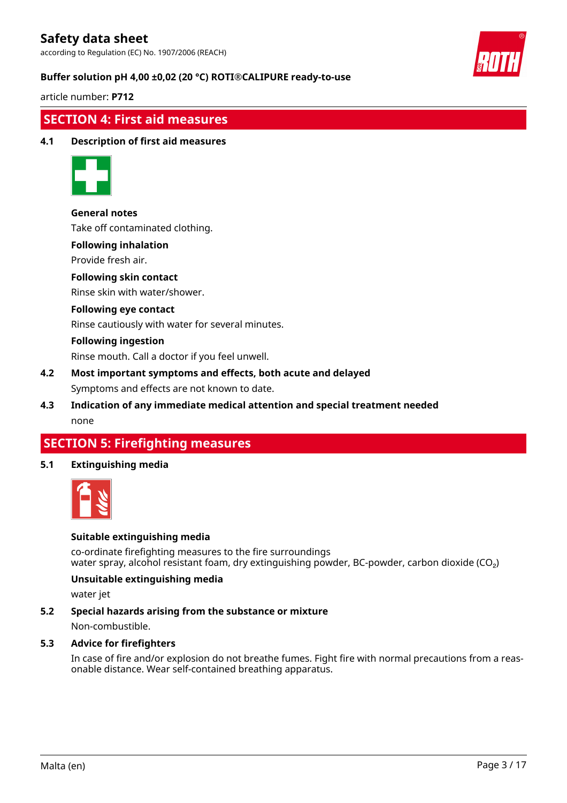according to Regulation (EC) No. 1907/2006 (REACH)



#### **Buffer solution pH 4,00 ±0,02 (20 °C) ROTI®CALIPURE ready-to-use**

article number: **P712**

### **SECTION 4: First aid measures**

#### **4.1 Description of first aid measures**



**General notes**

Take off contaminated clothing.

#### **Following inhalation**

Provide fresh air.

#### **Following skin contact**

Rinse skin with water/shower.

#### **Following eye contact**

Rinse cautiously with water for several minutes.

#### **Following ingestion**

Rinse mouth. Call a doctor if you feel unwell.

# **4.2 Most important symptoms and effects, both acute and delayed**

Symptoms and effects are not known to date.

### **4.3 Indication of any immediate medical attention and special treatment needed** none

## **SECTION 5: Firefighting measures**

#### **5.1 Extinguishing media**



#### **Suitable extinguishing media**

co-ordinate firefighting measures to the fire surroundings water spray, alcohol resistant foam, dry extinguishing powder, BC-powder, carbon dioxide (CO<sub>2</sub>)

#### **Unsuitable extinguishing media**

water jet

#### **5.2 Special hazards arising from the substance or mixture**

Non-combustible.

#### **5.3 Advice for firefighters**

In case of fire and/or explosion do not breathe fumes. Fight fire with normal precautions from a reasonable distance. Wear self-contained breathing apparatus.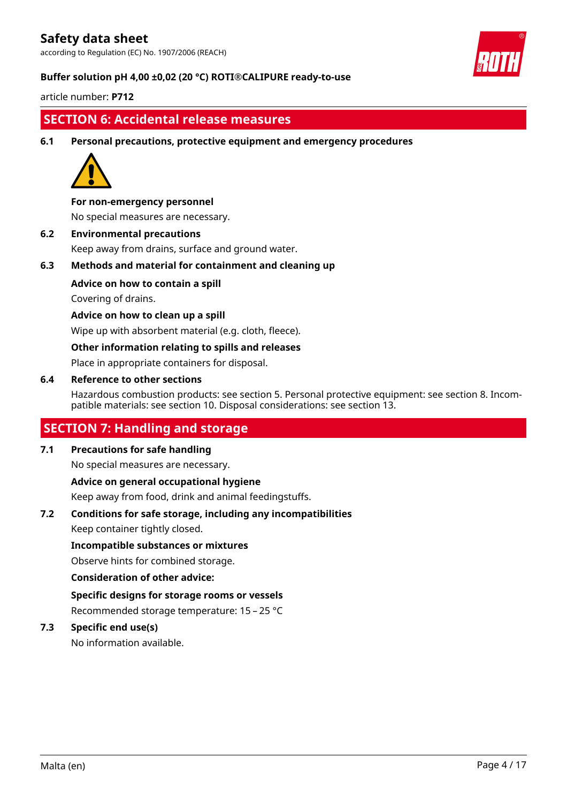according to Regulation (EC) No. 1907/2006 (REACH)



#### **Buffer solution pH 4,00 ±0,02 (20 °C) ROTI®CALIPURE ready-to-use**

article number: **P712**

# **SECTION 6: Accidental release measures**

**6.1 Personal precautions, protective equipment and emergency procedures**



#### **For non-emergency personnel**

No special measures are necessary.

**6.2 Environmental precautions** Keep away from drains, surface and ground water.

**6.3 Methods and material for containment and cleaning up**

**Advice on how to contain a spill**

Covering of drains.

#### **Advice on how to clean up a spill**

Wipe up with absorbent material (e.g. cloth, fleece).

#### **Other information relating to spills and releases**

Place in appropriate containers for disposal.

#### **6.4 Reference to other sections**

Hazardous combustion products: see section 5. Personal protective equipment: see section 8. Incompatible materials: see section 10. Disposal considerations: see section 13.

# **SECTION 7: Handling and storage**

### **7.1 Precautions for safe handling**

No special measures are necessary.

**Advice on general occupational hygiene**

Keep away from food, drink and animal feedingstuffs.

#### **7.2 Conditions for safe storage, including any incompatibilities**

Keep container tightly closed.

#### **Incompatible substances or mixtures**

Observe hints for combined storage.

#### **Consideration of other advice:**

**Specific designs for storage rooms or vessels** Recommended storage temperature: 15 – 25 °C

#### **7.3 Specific end use(s)**

No information available.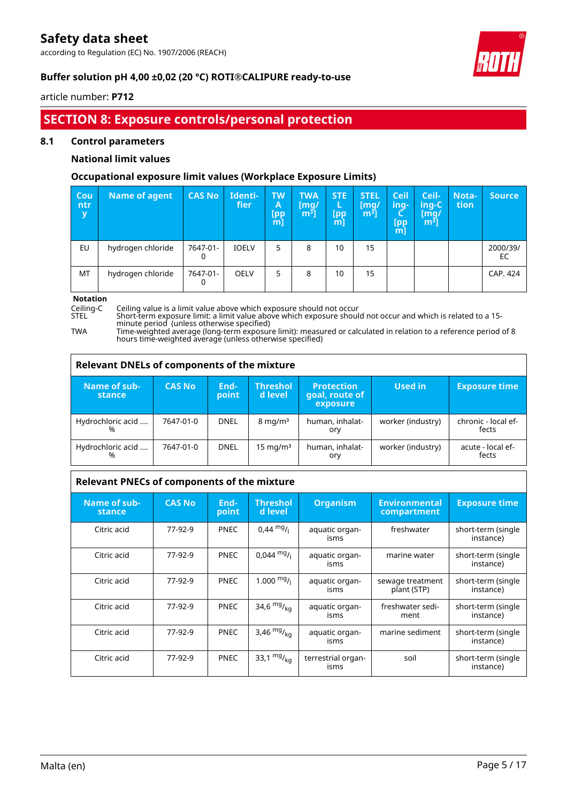according to Regulation (EC) No. 1907/2006 (REACH)



### **Buffer solution pH 4,00 ±0,02 (20 °C) ROTI®CALIPURE ready-to-use**

#### article number: **P712**

# **SECTION 8: Exposure controls/personal protection**

#### **8.1 Control parameters**

#### **National limit values**

#### **Occupational exposure limit values (Workplace Exposure Limits)**

| Cou<br>ntr<br>y | <b>Name of agent</b> | <b>CAS No</b> | Identi-<br>fier | <b>TW</b><br>A<br>[pp<br>m] | <b>TWA</b><br>[mq/<br>m <sup>3</sup> | <b>STE</b><br>L<br>[pp<br>m | <b>STEL</b><br>[mq/<br>$m3$ ] | <b>Ceil</b><br>ing-<br>$[$ pp<br>m | Ceil-<br>ing-C<br>[mq/<br>$\mathsf{m}^{\mathsf{s}}$ ] | Nota-<br>tion | Source,        |
|-----------------|----------------------|---------------|-----------------|-----------------------------|--------------------------------------|-----------------------------|-------------------------------|------------------------------------|-------------------------------------------------------|---------------|----------------|
| EU              | hydrogen chloride    | 7647-01-      | <b>IOELV</b>    | 5                           | 8                                    | 10                          | 15                            |                                    |                                                       |               | 2000/39/<br>EC |
| MT              | hydrogen chloride    | 7647-01-      | <b>OELV</b>     | 5                           | 8                                    | 10                          | 15                            |                                    |                                                       |               | CAP. 424       |

**Notation**

 $\overline{1}$ 

Ceiling-C Ceiling value is a limit value above which exposure should not occur<br>STEL Short-term exposure limit: a limit value above which exposure should not occur and which is related to a 15minute period (unless otherwise specified)

TWA Time-weighted average (long-term exposure limit): measured or calculated in relation to a reference period of 8 hours time-weighted average (unless otherwise specified)

| <b>Relevant DNELs of components of the mixture</b> |               |               |                            |                                                 |                   |                              |  |  |  |  |
|----------------------------------------------------|---------------|---------------|----------------------------|-------------------------------------------------|-------------------|------------------------------|--|--|--|--|
| Name of sub-<br>stance                             | <b>CAS No</b> | End-<br>point | <b>Threshol</b><br>d level | <b>Protection</b><br>goal, route of<br>exposure | Used in           | <b>Exposure time</b>         |  |  |  |  |
| Hydrochloric acid<br>%                             | 7647-01-0     | <b>DNEL</b>   | $8 \text{ mg/m}^3$         | human, inhalat-<br>ory                          | worker (industry) | chronic - local ef-<br>fects |  |  |  |  |
| Hydrochloric acid<br>%                             | 7647-01-0     | <b>DNEL</b>   | 15 mg/m $3$                | human, inhalat-<br>ory                          | worker (industry) | acute - local ef-<br>fects   |  |  |  |  |

| Relevant PNECs of components of the mixture |               |               |                            |                            |                                     |                                 |  |  |  |  |
|---------------------------------------------|---------------|---------------|----------------------------|----------------------------|-------------------------------------|---------------------------------|--|--|--|--|
| Name of sub-<br>stance                      | <b>CAS No</b> | End-<br>point | <b>Threshol</b><br>d level | <b>Organism</b>            | <b>Environmental</b><br>compartment | <b>Exposure time</b>            |  |  |  |  |
| Citric acid                                 | 77-92-9       | <b>PNEC</b>   | $0,44 \text{ mg}$ /        | aquatic organ-<br>isms     | freshwater                          | short-term (single<br>instance) |  |  |  |  |
| Citric acid                                 | 77-92-9       | <b>PNEC</b>   | $0.044 \text{ mg}$ /       | aquatic organ-<br>isms     | marine water                        | short-term (single<br>instance) |  |  |  |  |
| Citric acid                                 | 77-92-9       | <b>PNEC</b>   | $1.000 \frac{mg}{l}$       | aquatic organ-<br>isms     | sewage treatment<br>plant (STP)     | short-term (single<br>instance) |  |  |  |  |
| Citric acid                                 | 77-92-9       | <b>PNEC</b>   | 34,6 $mg/_{kq}$            | aquatic organ-<br>isms     | freshwater sedi-<br>ment            | short-term (single<br>instance) |  |  |  |  |
| Citric acid                                 | 77-92-9       | <b>PNEC</b>   | 3,46 $mg/_{kq}$            | aquatic organ-<br>isms     | marine sediment                     | short-term (single<br>instance) |  |  |  |  |
| Citric acid                                 | 77-92-9       | <b>PNEC</b>   | 33,1 $mg/_{ka}$            | terrestrial organ-<br>isms | soil                                | short-term (single<br>instance) |  |  |  |  |

٦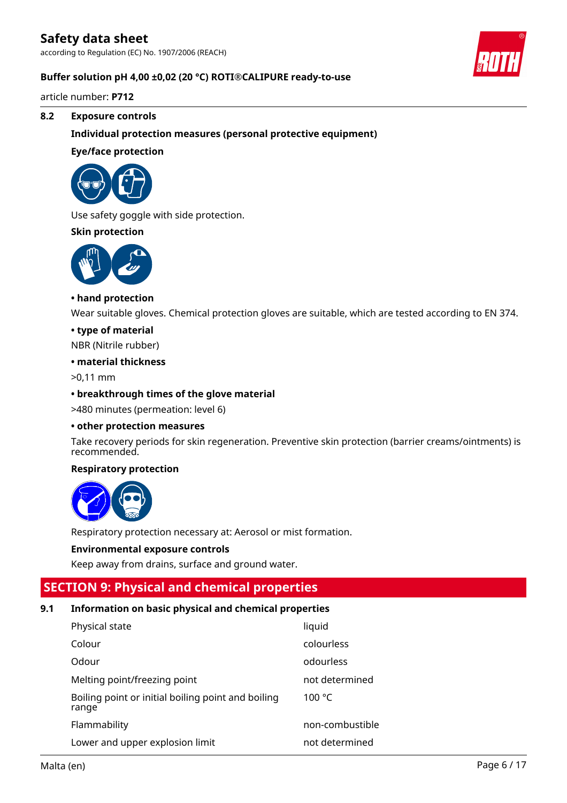according to Regulation (EC) No. 1907/2006 (REACH)

#### **Buffer solution pH 4,00 ±0,02 (20 °C) ROTI®CALIPURE ready-to-use**

article number: **P712**

#### **8.2 Exposure controls**

**Individual protection measures (personal protective equipment)**

#### **Eye/face protection**



Use safety goggle with side protection.

#### **Skin protection**



#### **• hand protection**

Wear suitable gloves. Chemical protection gloves are suitable, which are tested according to EN 374.

#### **• type of material**

NBR (Nitrile rubber)

#### **• material thickness**

>0,11 mm

#### **• breakthrough times of the glove material**

>480 minutes (permeation: level 6)

#### **• other protection measures**

Take recovery periods for skin regeneration. Preventive skin protection (barrier creams/ointments) is recommended.

#### **Respiratory protection**



Respiratory protection necessary at: Aerosol or mist formation.

#### **Environmental exposure controls**

Keep away from drains, surface and ground water.

## **SECTION 9: Physical and chemical properties**

#### **9.1 Information on basic physical and chemical properties**

| Physical state                                              | liquid          |
|-------------------------------------------------------------|-----------------|
| Colour                                                      | colourless      |
| Odour                                                       | odourless       |
| Melting point/freezing point                                | not determined  |
| Boiling point or initial boiling point and boiling<br>range | 100 $\degree$ C |
| Flammability                                                | non-combustible |
| Lower and upper explosion limit                             | not determined  |

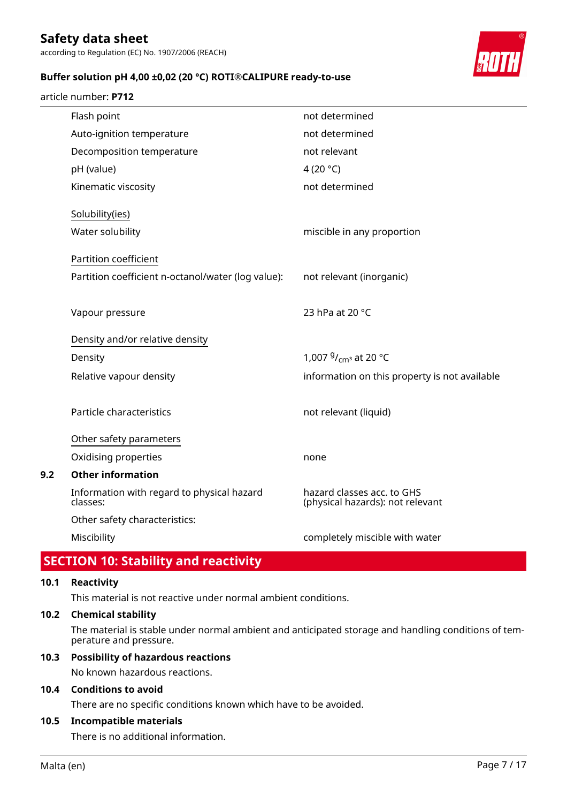according to Regulation (EC) No. 1907/2006 (REACH)

#### **Buffer solution pH 4,00 ±0,02 (20 °C) ROTI®CALIPURE ready-to-use**

#### article number: **P712**



| Flash point                                            | not determined                                                 |
|--------------------------------------------------------|----------------------------------------------------------------|
| Auto-ignition temperature                              | not determined                                                 |
| Decomposition temperature                              | not relevant                                                   |
| pH (value)                                             | 4 (20 $^{\circ}$ C)                                            |
| Kinematic viscosity                                    | not determined                                                 |
| Solubility(ies)                                        |                                                                |
| Water solubility                                       | miscible in any proportion                                     |
| Partition coefficient                                  |                                                                |
| Partition coefficient n-octanol/water (log value):     | not relevant (inorganic)                                       |
| Vapour pressure                                        | 23 hPa at 20 °C                                                |
| Density and/or relative density                        |                                                                |
| Density                                                | 1,007 <sup>g</sup> / <sub>cm<sup>3</sup></sub> at 20 °C        |
| Relative vapour density                                | information on this property is not available                  |
|                                                        |                                                                |
| Particle characteristics                               | not relevant (liquid)                                          |
| Other safety parameters                                |                                                                |
| Oxidising properties                                   | none                                                           |
| <b>Other information</b>                               |                                                                |
| Information with regard to physical hazard<br>classes: | hazard classes acc. to GHS<br>(physical hazards): not relevant |
| Other safety characteristics:                          |                                                                |
| Miscibility                                            | completely miscible with water                                 |

# **SECTION 10: Stability and reactivity**

#### **10.1 Reactivity**

**9.2** 

This material is not reactive under normal ambient conditions.

#### **10.2 Chemical stability**

The material is stable under normal ambient and anticipated storage and handling conditions of temperature and pressure.

#### **10.3 Possibility of hazardous reactions**

No known hazardous reactions.

#### **10.4 Conditions to avoid**

There are no specific conditions known which have to be avoided.

#### **10.5 Incompatible materials**

There is no additional information.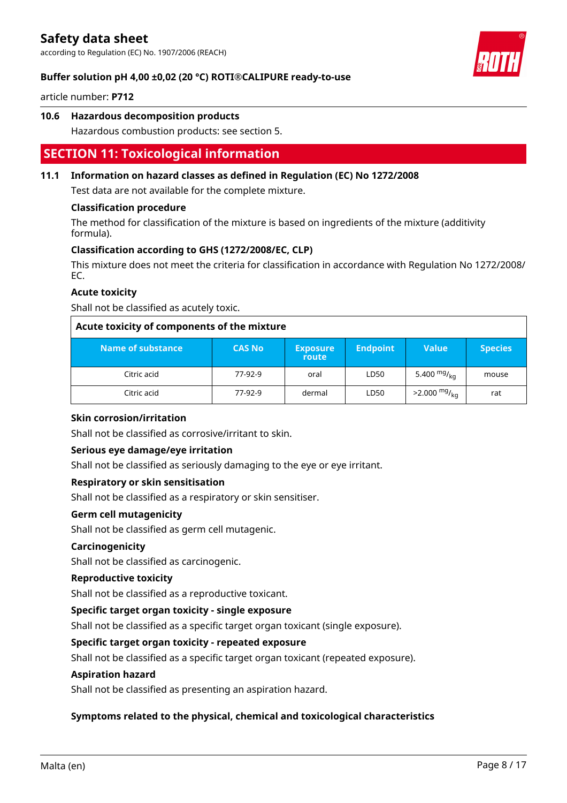according to Regulation (EC) No. 1907/2006 (REACH)



#### **Buffer solution pH 4,00 ±0,02 (20 °C) ROTI®CALIPURE ready-to-use**

article number: **P712**

#### **10.6 Hazardous decomposition products**

Hazardous combustion products: see section 5.

# **SECTION 11: Toxicological information**

#### **11.1 Information on hazard classes as defined in Regulation (EC) No 1272/2008**

Test data are not available for the complete mixture.

#### **Classification procedure**

The method for classification of the mixture is based on ingredients of the mixture (additivity formula).

#### **Classification according to GHS (1272/2008/EC, CLP)**

This mixture does not meet the criteria for classification in accordance with Regulation No 1272/2008/ EC.

#### **Acute toxicity**

Shall not be classified as acutely toxic.

| Acute toxicity of components of the mixture |               |                          |                 |                        |                |  |  |  |  |  |
|---------------------------------------------|---------------|--------------------------|-----------------|------------------------|----------------|--|--|--|--|--|
| Name of substance                           | <b>CAS No</b> | <b>Exposure</b><br>route | <b>Endpoint</b> | <b>Value</b>           | <b>Species</b> |  |  |  |  |  |
| Citric acid                                 | 77-92-9       | oral                     | LD50            | 5.400 $mg/kq$          | mouse          |  |  |  |  |  |
| Citric acid                                 | 77-92-9       | dermal                   | LD50            | $>2.000 \frac{mg}{ka}$ | rat            |  |  |  |  |  |

#### **Skin corrosion/irritation**

Shall not be classified as corrosive/irritant to skin.

#### **Serious eye damage/eye irritation**

Shall not be classified as seriously damaging to the eye or eye irritant.

#### **Respiratory or skin sensitisation**

Shall not be classified as a respiratory or skin sensitiser.

#### **Germ cell mutagenicity**

Shall not be classified as germ cell mutagenic.

#### **Carcinogenicity**

Shall not be classified as carcinogenic.

#### **Reproductive toxicity**

Shall not be classified as a reproductive toxicant.

#### **Specific target organ toxicity - single exposure**

Shall not be classified as a specific target organ toxicant (single exposure).

### **Specific target organ toxicity - repeated exposure**

Shall not be classified as a specific target organ toxicant (repeated exposure).

#### **Aspiration hazard**

Shall not be classified as presenting an aspiration hazard.

#### **Symptoms related to the physical, chemical and toxicological characteristics**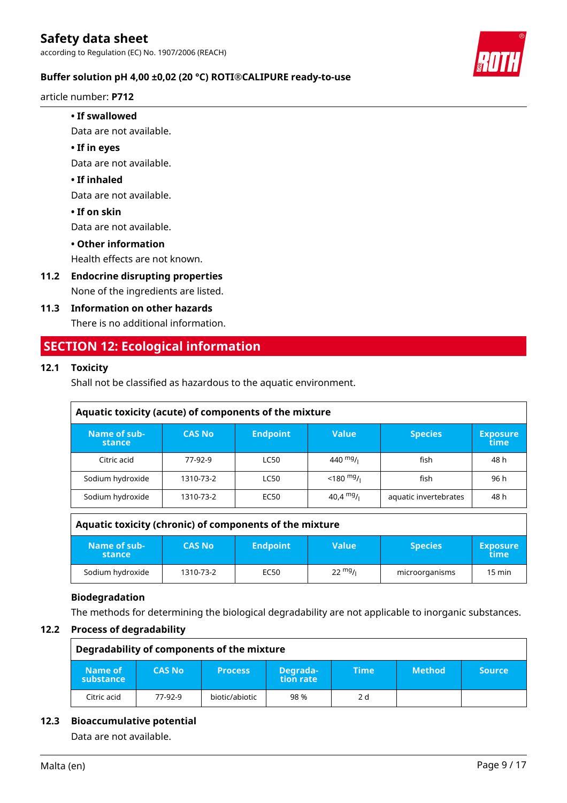**Buffer solution pH 4,00 ±0,02 (20 °C) ROTI®CALIPURE ready-to-use**

article number: **P712**

#### **• If swallowed**

Data are not available.

#### **• If in eyes**

Data are not available.

#### **• If inhaled**

Data are not available.

**• If on skin**

Data are not available.

#### **• Other information**

Health effects are not known.

**11.2 Endocrine disrupting properties** None of the ingredients are listed.

### **11.3 Information on other hazards**

There is no additional information.

# **SECTION 12: Ecological information**

### **12.1 Toxicity**

Shall not be classified as hazardous to the aquatic environment.

| Aquatic toxicity (acute) of components of the mixture |               |                 |                                      |                       |                         |  |  |  |  |
|-------------------------------------------------------|---------------|-----------------|--------------------------------------|-----------------------|-------------------------|--|--|--|--|
| Name of sub-<br>stance                                | <b>CAS No</b> | <b>Endpoint</b> | <b>Value</b>                         | <b>Species</b>        | <b>Exposure</b><br>time |  |  |  |  |
| Citric acid                                           | 77-92-9       | <b>LC50</b>     | 440 $mg/1$                           | fish                  | 48 h                    |  |  |  |  |
| Sodium hydroxide                                      | 1310-73-2     | <b>LC50</b>     | $<$ 180 <sup>mg</sup> / <sub>l</sub> | fish                  | 96 h                    |  |  |  |  |
| Sodium hydroxide                                      | 1310-73-2     | EC50            | 40,4 <sup>mg</sup> /i                | aquatic invertebrates | 48 h                    |  |  |  |  |
|                                                       |               |                 |                                      |                       |                         |  |  |  |  |

|                        | Aquatic toxicity (chronic) of components of the mixture |                 |                   |                |                         |  |  |  |  |  |
|------------------------|---------------------------------------------------------|-----------------|-------------------|----------------|-------------------------|--|--|--|--|--|
| Name of sub-<br>stance | <b>CAS No</b>                                           | <b>Endpoint</b> | <b>Value</b>      | <b>Species</b> | <b>Exposure</b><br>time |  |  |  |  |  |
| Sodium hydroxide       | 1310-73-2                                               | EC50            | $22 \frac{mg}{l}$ | microorganisms | 15 min                  |  |  |  |  |  |

#### **Biodegradation**

The methods for determining the biological degradability are not applicable to inorganic substances.

#### **12.2 Process of degradability**

|                      | Degradability of components of the mixture |                |                       |      |               |               |  |  |  |  |  |
|----------------------|--------------------------------------------|----------------|-----------------------|------|---------------|---------------|--|--|--|--|--|
| Name of<br>substance | <b>CAS No</b>                              | <b>Process</b> | Degrada-<br>tion rate | Time | <b>Method</b> | <b>Source</b> |  |  |  |  |  |
| Citric acid          | 77-92-9                                    | biotic/abiotic | 98 %                  | 2 d  |               |               |  |  |  |  |  |

### **12.3 Bioaccumulative potential**

Data are not available.

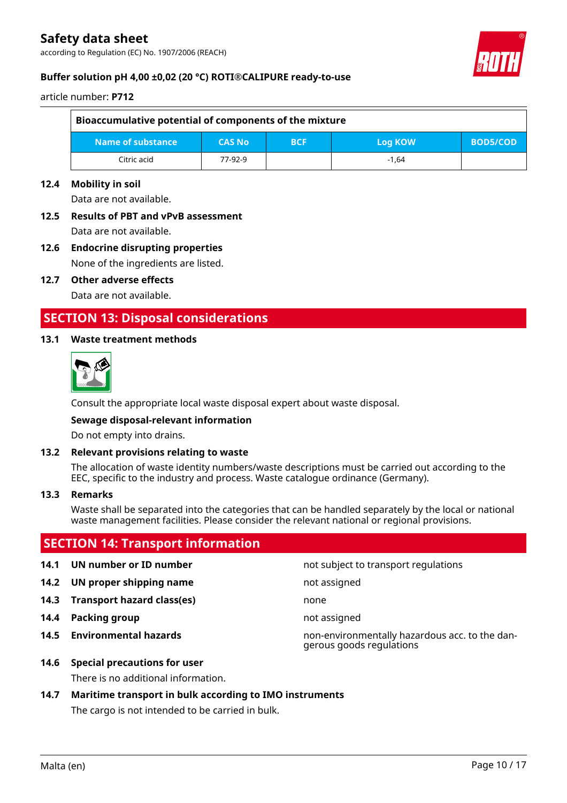according to Regulation (EC) No. 1907/2006 (REACH)



#### **Buffer solution pH 4,00 ±0,02 (20 °C) ROTI®CALIPURE ready-to-use**

article number: **P712**

| Bioaccumulative potential of components of the mixture                         |         |  |         |  |  |  |  |  |  |
|--------------------------------------------------------------------------------|---------|--|---------|--|--|--|--|--|--|
| Name of substance<br><b>CAS No</b><br><b>BOD5/COD</b><br><b>BCF</b><br>Log KOW |         |  |         |  |  |  |  |  |  |
| Citric acid                                                                    | 77-92-9 |  | $-1.64$ |  |  |  |  |  |  |

#### **12.4 Mobility in soil**

Data are not available.

# **12.5 Results of PBT and vPvB assessment**

Data are not available.

### **12.6 Endocrine disrupting properties** None of the ingredients are listed.

**12.7 Other adverse effects**

Data are not available.

## **SECTION 13: Disposal considerations**

#### **13.1 Waste treatment methods**



Consult the appropriate local waste disposal expert about waste disposal.

#### **Sewage disposal-relevant information**

Do not empty into drains.

#### **13.2 Relevant provisions relating to waste**

The allocation of waste identity numbers/waste descriptions must be carried out according to the EEC, specific to the industry and process. Waste catalogue ordinance (Germany).

#### **13.3 Remarks**

Waste shall be separated into the categories that can be handled separately by the local or national waste management facilities. Please consider the relevant national or regional provisions.

## **SECTION 14: Transport information**

- 
- **14.2 UN proper shipping name** not assigned
- **14.3 Transport hazard class(es)** none
- **14.4 Packing group not assigned**
- 
- **14.6 Special precautions for user**

There is no additional information.

#### **14.7 Maritime transport in bulk according to IMO instruments**

The cargo is not intended to be carried in bulk.

**14.1 UN number or ID number not** subject to transport regulations

**14.5 Environmental hazards** non-environmentally hazardous acc. to the dangerous goods regulations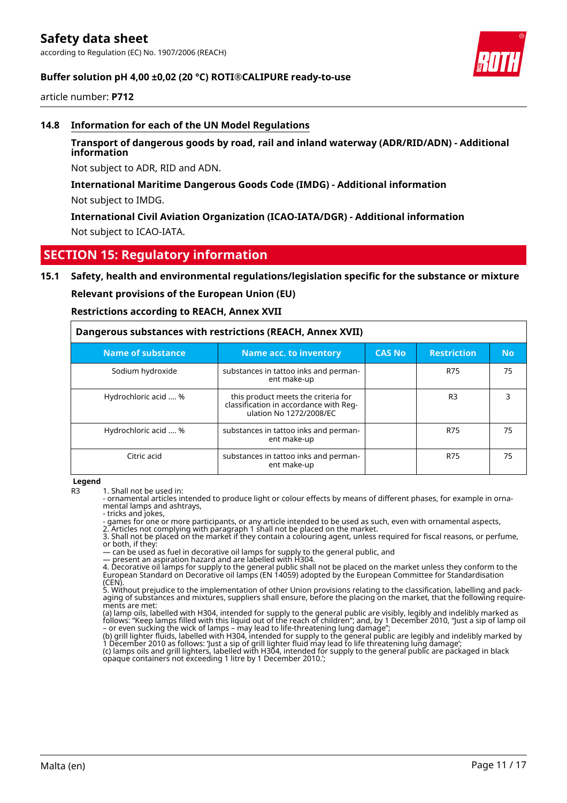#### **Buffer solution pH 4,00 ±0,02 (20 °C) ROTI®CALIPURE ready-to-use**

article number: **P712**

#### **14.8 Information for each of the UN Model Regulations**

#### **Transport of dangerous goods by road, rail and inland waterway (ADR/RID/ADN) - Additional information**

Not subject to ADR, RID and ADN.

#### **International Maritime Dangerous Goods Code (IMDG) - Additional information**

Not subject to IMDG.

**International Civil Aviation Organization (ICAO-IATA/DGR) - Additional information** Not subject to ICAO-IATA.

### **SECTION 15: Regulatory information**

#### **15.1 Safety, health and environmental regulations/legislation specific for the substance or mixture**

**Relevant provisions of the European Union (EU)**

**Restrictions according to REACH, Annex XVII**

| Dangerous substances with restrictions (REACH, Annex XVII) |                                                                                                          |               |                    |           |
|------------------------------------------------------------|----------------------------------------------------------------------------------------------------------|---------------|--------------------|-----------|
| <b>Name of substance</b>                                   | Name acc. to inventory                                                                                   | <b>CAS No</b> | <b>Restriction</b> | <b>No</b> |
| Sodium hydroxide                                           | substances in tattoo inks and perman-<br>ent make-up                                                     |               | <b>R75</b>         | 75        |
| Hydrochloric acid  %                                       | this product meets the criteria for<br>classification in accordance with Reg-<br>ulation No 1272/2008/EC |               | R <sub>3</sub>     | 3         |
| Hydrochloric acid  %                                       | substances in tattoo inks and perman-<br>ent make-up                                                     |               | R75                | 75        |
| Citric acid                                                | substances in tattoo inks and perman-<br>ent make-up                                                     |               | <b>R75</b>         | 75        |

**Legend**

- ornamental articles intended to produce light or colour effects by means of different phases, for example in ornamental lamps and ashtrays,

- tricks and jokes,

- games for one or more participants, or any article intended to be used as such, even with ornamental aspects,

2. Articles not complying with paragraph 1 shall not be placed on the market. 3. Shall not be placed on the market if they contain a colouring agent, unless required for fiscal reasons, or perfume, or both, if they:

— can be used as fuel in decorative oil lamps for supply to the general public, and — present an aspiration hazard and are labelled with H304.

4. Decorative oil lamps for supply to the general public shall not be placed on the market unless they conform to the European Standard on Decorative oil lamps (EN 14059) adopted by the European Committee for Standardisation (CEN).

5. Without prejudice to the implementation of other Union provisions relating to the classification, labelling and packaging of substances and mixtures, suppliers shall ensure, before the placing on the market, that the following requirements are met:

(a) lamp oils, labelled with H304, intended for supply to the general public are visibly, legibly and indelibly marked as follows: "Keep lamps filled with this liquid out of the reach of children"; and, by 1 December 2010, "Just a sip of lamp oil – or even sucking the wick of lamps – may lead to life-threatening lung damage";

(b) grill lighter fluids, labelled with H304, intended for supply to the general public are legibly and indelibly marked by 1 December 2010 as follows: 'Just a sip of grill lighter fluid may lead to life threatening lung damage'; (c) lamps oils and grill lighters, labelled with H304, intended for supply to the general public are packaged in black

R3 1. Shall not be used in: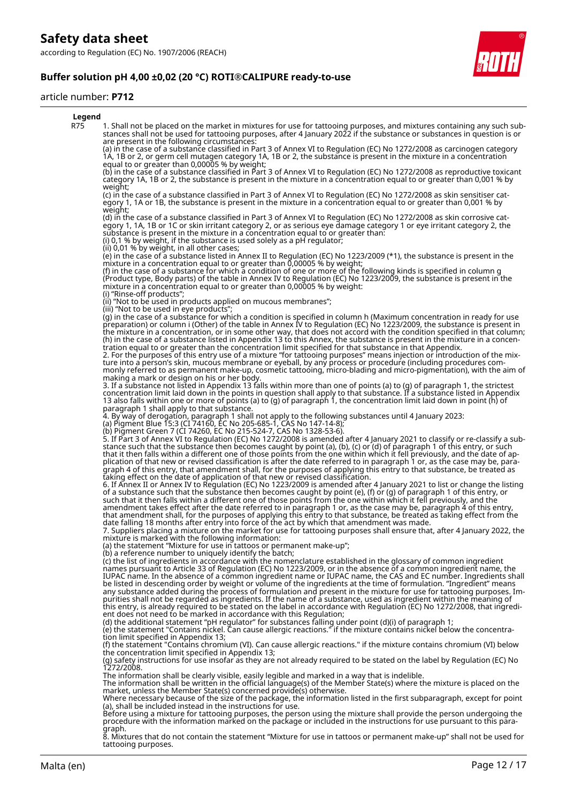**Buffer solution pH 4,00 ±0,02 (20 °C) ROTI®CALIPURE ready-to-use**

#### article number: **P712**



8. Mixtures that do not contain the statement "Mixture for use in tattoos or permanent make-up" shall not be used for tattooing purposes.

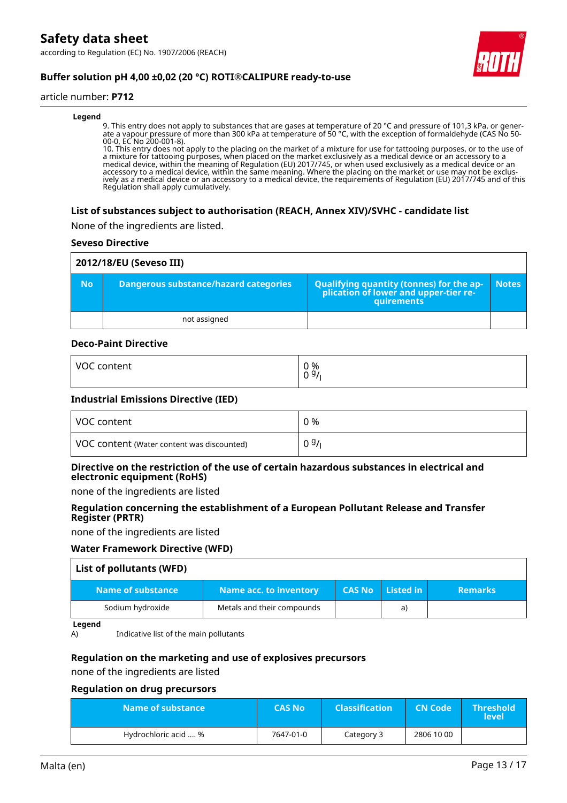according to Regulation (EC) No. 1907/2006 (REACH)



### **Buffer solution pH 4,00 ±0,02 (20 °C) ROTI®CALIPURE ready-to-use**

#### article number: **P712**

#### **Legend**

9. This entry does not apply to substances that are gases at temperature of 20 °C and pressure of 101,3 kPa, or generate a vapour pressure of more than 300 kPa at temperature of 50 °C, with the exception of formaldehyde (CAS No 50- 00-0, EC No 200-001-8).

10. This entry does not apply to the placing on the market of a mixture for use for tattooing purposes, or to the use of a mixture for tattooing purposes, when placed on the market exclusively as a medical device or an accessory to a medical device, within the meaning of Regulation (EU) 2017/745, or when used exclusively as a medical device or an accessory to a medical device, within the same meaning. Where the placing on the market or use may not be exclusively as a medical device or an accessory to a medical device, the requirements of Regulation (EU) 2017/745 and of this Regulation shall apply cumulatively.

#### **List of substances subject to authorisation (REACH, Annex XIV)/SVHC - candidate list**

None of the ingredients are listed.

#### **Seveso Directive**

|           | 2012/18/EU (Seveso III)               |                                                                                            |              |
|-----------|---------------------------------------|--------------------------------------------------------------------------------------------|--------------|
| <b>No</b> | Dangerous substance/hazard categories | Qualifying quantity (tonnes) for the application of lower and upper-tier re-<br>quirements | <b>Notes</b> |
|           | not assigned                          |                                                                                            |              |

#### **Deco-Paint Directive**

| VOC     | 0 % |
|---------|-----|
| content | 09/ |
|         |     |

#### **Industrial Emissions Directive (IED)**

| VOC content                                | 0 %  |
|--------------------------------------------|------|
| VOC content (Water content was discounted) | 09/1 |

#### **Directive on the restriction of the use of certain hazardous substances in electrical and electronic equipment (RoHS)**

none of the ingredients are listed

#### **Regulation concerning the establishment of a European Pollutant Release and Transfer Register (PRTR)**

none of the ingredients are listed

#### **Water Framework Directive (WFD)**

| List of pollutants (WFD) |                               |               |           |                |
|--------------------------|-------------------------------|---------------|-----------|----------------|
| Name of substance        | <b>Name acc. to inventory</b> | <b>CAS No</b> | Listed in | <b>Remarks</b> |
| Sodium hydroxide         | Metals and their compounds    |               | a)        |                |

#### **Legend**

A) Indicative list of the main pollutants

#### **Regulation on the marketing and use of explosives precursors**

none of the ingredients are listed

#### **Regulation on drug precursors**

| Name of substance    | <b>CAS No</b> | <b>Classification</b> | <b>CN Code</b> | <b>Threshold</b><br>level |
|----------------------|---------------|-----------------------|----------------|---------------------------|
| Hydrochloric acid  % | 7647-01-0     | Category 3            | 2806 10 00     |                           |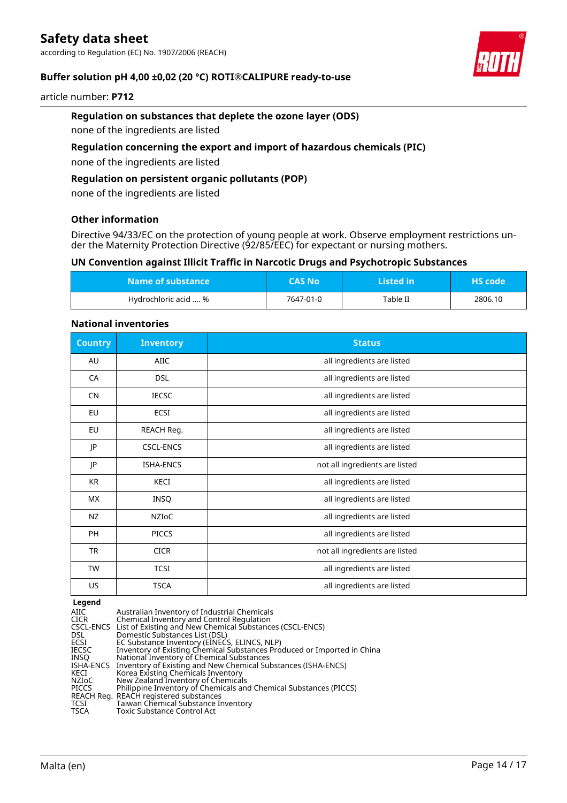according to Regulation (EC) No. 1907/2006 (REACH)



#### **Buffer solution pH 4,00 ±0,02 (20 °C) ROTI®CALIPURE ready-to-use**

#### article number: **P712**

#### **Regulation on substances that deplete the ozone layer (ODS)**

none of the ingredients are listed

#### **Regulation concerning the export and import of hazardous chemicals (PIC)**

none of the ingredients are listed

#### **Regulation on persistent organic pollutants (POP)**

none of the ingredients are listed

#### **Other information**

Directive 94/33/EC on the protection of young people at work. Observe employment restrictions under the Maternity Protection Directive (92/85/EEC) for expectant or nursing mothers.

#### **UN Convention against Illicit Traffic in Narcotic Drugs and Psychotropic Substances**

| Name of substance    | <b>CAS No</b> ' | Listed in | <b>HS</b> code |
|----------------------|-----------------|-----------|----------------|
| Hydrochloric acid  % | 7647-01-0       | Table II  | 2806.10        |

#### **National inventories**

| <b>Country</b> | <b>Inventory</b> | <b>Status</b>                  |
|----------------|------------------|--------------------------------|
| AU             | <b>AIIC</b>      | all ingredients are listed     |
| CA             | <b>DSL</b>       | all ingredients are listed     |
| <b>CN</b>      | <b>IECSC</b>     | all ingredients are listed     |
| EU             | ECSI             | all ingredients are listed     |
| EU             | REACH Reg.       | all ingredients are listed     |
| IP             | <b>CSCL-ENCS</b> | all ingredients are listed     |
| JP             | <b>ISHA-ENCS</b> | not all ingredients are listed |
| <b>KR</b>      | KECI             | all ingredients are listed     |
| <b>MX</b>      | INSQ             | all ingredients are listed     |
| NZ             | NZIoC            | all ingredients are listed     |
| PH             | <b>PICCS</b>     | all ingredients are listed     |
| TR             | <b>CICR</b>      | not all ingredients are listed |
| <b>TW</b>      | <b>TCSI</b>      | all ingredients are listed     |
| US             | <b>TSCA</b>      | all ingredients are listed     |

#### **Legend**

| AIIC      | Australian Inventory of Industrial Chemicals                            |
|-----------|-------------------------------------------------------------------------|
| CICR      | Chemical Inventory and Control Regulation                               |
|           | CSCL-ENCS List of Existing and New Chemical Substances (CSCL-ENCS)      |
| DSL       | Domestic Substances List (DSL)                                          |
| ECSI      | EC Substance Inventory (EINECS, ELINCS, NLP)                            |
| IECSC     | Inventory of Existing Chemical Substances Produced or Imported in China |
| INSO      | National Inventory of Chemical Substances                               |
| ISHA-ENCS | Inventory of Existing and New Chemical Substances (ISHA-ENCS)           |
| KECI      | Korea Existing Chemicals Inventory                                      |
| NZIoC     | New Zealand Inventory of Chemicals                                      |
| PICCS     | Philippine Inventory of Chemicals and Chemical Substances (PICCS)       |
|           | REACH Reg. REACH registered substances                                  |
| TCSI      | Taiwan Chemical Substance Inventory                                     |
| TSCA      | Toxic Substance Control Act                                             |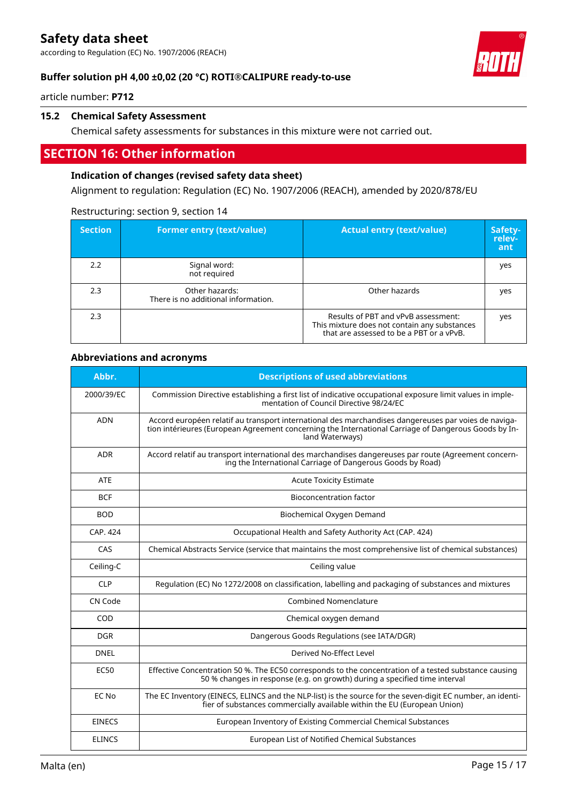according to Regulation (EC) No. 1907/2006 (REACH)



#### **Buffer solution pH 4,00 ±0,02 (20 °C) ROTI®CALIPURE ready-to-use**

article number: **P712**

#### **15.2 Chemical Safety Assessment**

Chemical safety assessments for substances in this mixture were not carried out.

# **SECTION 16: Other information**

#### **Indication of changes (revised safety data sheet)**

Alignment to regulation: Regulation (EC) No. 1907/2006 (REACH), amended by 2020/878/EU

| <b>Section</b> | <b>Former entry (text/value)</b>                      | <b>Actual entry (text/value)</b>                                                                                                | Safety-<br>relev-<br>ant |
|----------------|-------------------------------------------------------|---------------------------------------------------------------------------------------------------------------------------------|--------------------------|
| 2.2            | Signal word:<br>not required                          |                                                                                                                                 | yes                      |
| 2.3            | Other hazards:<br>There is no additional information. | Other hazards                                                                                                                   | yes                      |
| 2.3            |                                                       | Results of PBT and vPvB assessment:<br>This mixture does not contain any substances<br>that are assessed to be a PBT or a vPvB. | yes                      |

#### Restructuring: section 9, section 14

#### **Abbreviations and acronyms**

| Abbr.         | <b>Descriptions of used abbreviations</b>                                                                                                                                                                                       |
|---------------|---------------------------------------------------------------------------------------------------------------------------------------------------------------------------------------------------------------------------------|
| 2000/39/EC    | Commission Directive establishing a first list of indicative occupational exposure limit values in imple-<br>mentation of Council Directive 98/24/EC                                                                            |
| <b>ADN</b>    | Accord européen relatif au transport international des marchandises dangereuses par voies de naviga-<br>tion intérieures (European Agreement concerning the International Carriage of Dangerous Goods by In-<br>land Waterways) |
| <b>ADR</b>    | Accord relatif au transport international des marchandises dangereuses par route (Agreement concern-<br>ing the International Carriage of Dangerous Goods by Road)                                                              |
| ATE           | <b>Acute Toxicity Estimate</b>                                                                                                                                                                                                  |
| <b>BCF</b>    | <b>Bioconcentration factor</b>                                                                                                                                                                                                  |
| <b>BOD</b>    | Biochemical Oxygen Demand                                                                                                                                                                                                       |
| CAP. 424      | Occupational Health and Safety Authority Act (CAP. 424)                                                                                                                                                                         |
| CAS           | Chemical Abstracts Service (service that maintains the most comprehensive list of chemical substances)                                                                                                                          |
| Ceiling-C     | Ceiling value                                                                                                                                                                                                                   |
| <b>CLP</b>    | Regulation (EC) No 1272/2008 on classification, labelling and packaging of substances and mixtures                                                                                                                              |
| CN Code       | <b>Combined Nomenclature</b>                                                                                                                                                                                                    |
| COD           | Chemical oxygen demand                                                                                                                                                                                                          |
| <b>DGR</b>    | Dangerous Goods Regulations (see IATA/DGR)                                                                                                                                                                                      |
| <b>DNEL</b>   | Derived No-Effect Level                                                                                                                                                                                                         |
| <b>EC50</b>   | Effective Concentration 50 %. The EC50 corresponds to the concentration of a tested substance causing<br>50 % changes in response (e.g. on growth) during a specified time interval                                             |
| EC No         | The EC Inventory (EINECS, ELINCS and the NLP-list) is the source for the seven-digit EC number, an identi-<br>fier of substances commercially available within the EU (European Union)                                          |
| <b>EINECS</b> | European Inventory of Existing Commercial Chemical Substances                                                                                                                                                                   |
| <b>ELINCS</b> | European List of Notified Chemical Substances                                                                                                                                                                                   |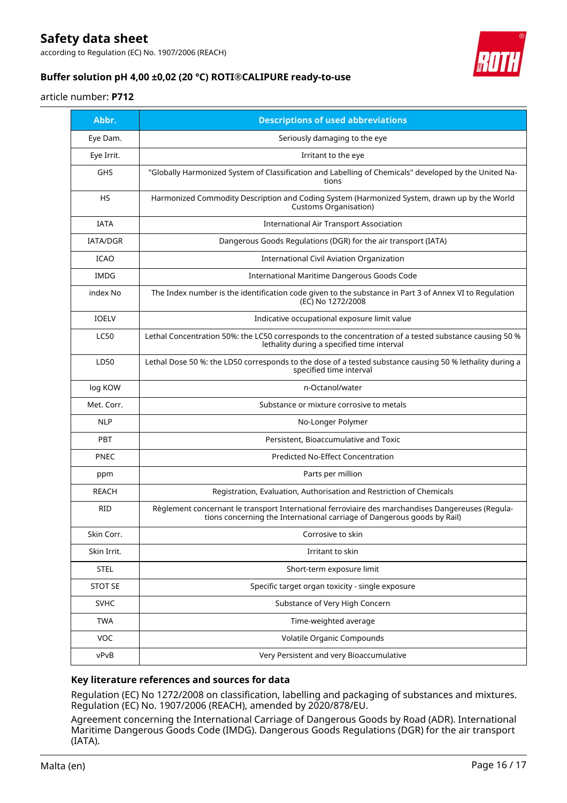according to Regulation (EC) No. 1907/2006 (REACH)



### **Buffer solution pH 4,00 ±0,02 (20 °C) ROTI®CALIPURE ready-to-use**

#### article number: **P712**

| Abbr.           | <b>Descriptions of used abbreviations</b>                                                                                                                                    |
|-----------------|------------------------------------------------------------------------------------------------------------------------------------------------------------------------------|
| Eye Dam.        | Seriously damaging to the eye                                                                                                                                                |
| Eye Irrit.      | Irritant to the eye                                                                                                                                                          |
| GHS             | "Globally Harmonized System of Classification and Labelling of Chemicals" developed by the United Na-<br>tions                                                               |
| <b>HS</b>       | Harmonized Commodity Description and Coding System (Harmonized System, drawn up by the World<br>Customs Organisation)                                                        |
| <b>IATA</b>     | <b>International Air Transport Association</b>                                                                                                                               |
| <b>IATA/DGR</b> | Dangerous Goods Regulations (DGR) for the air transport (IATA)                                                                                                               |
| <b>ICAO</b>     | <b>International Civil Aviation Organization</b>                                                                                                                             |
| IMDG            | International Maritime Dangerous Goods Code                                                                                                                                  |
| index No        | The Index number is the identification code given to the substance in Part 3 of Annex VI to Regulation<br>(EC) No 1272/2008                                                  |
| <b>IOELV</b>    | Indicative occupational exposure limit value                                                                                                                                 |
| <b>LC50</b>     | Lethal Concentration 50%: the LC50 corresponds to the concentration of a tested substance causing 50 %<br>lethality during a specified time interval                         |
| LD50            | Lethal Dose 50 %: the LD50 corresponds to the dose of a tested substance causing 50 % lethality during a<br>specified time interval                                          |
| log KOW         | n-Octanol/water                                                                                                                                                              |
| Met. Corr.      | Substance or mixture corrosive to metals                                                                                                                                     |
| <b>NLP</b>      | No-Longer Polymer                                                                                                                                                            |
| <b>PBT</b>      | Persistent, Bioaccumulative and Toxic                                                                                                                                        |
| <b>PNEC</b>     | Predicted No-Effect Concentration                                                                                                                                            |
| ppm             | Parts per million                                                                                                                                                            |
| <b>REACH</b>    | Registration, Evaluation, Authorisation and Restriction of Chemicals                                                                                                         |
| <b>RID</b>      | Règlement concernant le transport International ferroviaire des marchandises Dangereuses (Regula-<br>tions concerning the International carriage of Dangerous goods by Rail) |
| Skin Corr.      | Corrosive to skin                                                                                                                                                            |
| Skin Irrit.     | Irritant to skin                                                                                                                                                             |
| <b>STEL</b>     | Short-term exposure limit                                                                                                                                                    |
| <b>STOT SE</b>  | Specific target organ toxicity - single exposure                                                                                                                             |
| <b>SVHC</b>     | Substance of Very High Concern                                                                                                                                               |
| <b>TWA</b>      | Time-weighted average                                                                                                                                                        |
| VOC             | Volatile Organic Compounds                                                                                                                                                   |
| vPvB            | Very Persistent and very Bioaccumulative                                                                                                                                     |

#### **Key literature references and sources for data**

Regulation (EC) No 1272/2008 on classification, labelling and packaging of substances and mixtures. Regulation (EC) No. 1907/2006 (REACH), amended by 2020/878/EU.

Agreement concerning the International Carriage of Dangerous Goods by Road (ADR). International Maritime Dangerous Goods Code (IMDG). Dangerous Goods Regulations (DGR) for the air transport (IATA).